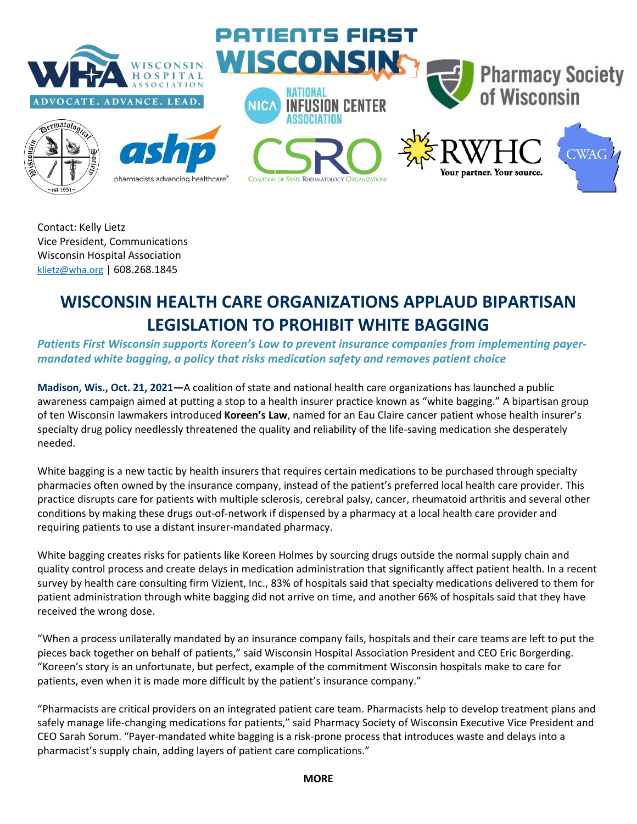

Contact: Kelly Lietz Vice President, Communications Wisconsin Hospital Association [klietz@wha.org](mailto:klietz@wha.org) | 608.268.1845

## **WISCONSIN HEALTH CARE ORGANIZATIONS APPLAUD BIPARTISAN LEGISLATION TO PROHIBIT WHITE BAGGING**

**Patients First Wisconsin supports Koreen's Law to prevent insurance companies from implementing payer***mandated white bagging, a policy that risks medication safety and removes patient choice* 

**Madison, Wis., Oct. 21, 2021—**A coalition of state and national health care organizations has launched a public awareness campaign aimed at putting a stop to a health insurer practice known as "white bagging." A bipartisan group of ten Wisconsin lawmakers introduced **Koreen's Law**, named for an Eau Claire cancer patient whose health insurer's specialty drug policy needlessly threatened the quality and reliability of the life-saving medication she desperately needed.

White bagging is a new tactic by health insurers that requires certain medications to be purchased through specialty pharmacies often owned by the insurance company, instead of the patient's preferred local health care provider. This practice disrupts care for patients with multiple sclerosis, cerebral palsy, cancer, rheumatoid arthritis and several other conditions by making these drugs out-of-network if dispensed by a pharmacy at a local health care provider and requiring patients to use a distant insurer-mandated pharmacy.

White bagging creates risks for patients like Koreen Holmes by sourcing drugs outside the normal supply chain and quality control process and create delays in medication administration that significantly affect patient health. In a recent survey by health care consulting firm Vizient, Inc., 83% of hospitals said that specialty medications delivered to them for patient administration through white bagging did not arrive on time, and another 66% of hospitals said that they have received the wrong dose.

"When a process unilaterally mandated by an insurance company fails, hospitals and their care teams are left to put the pieces back together on behalf of patients," said Wisconsin Hospital Association President and CEO Eric Borgerding. "Koreen's story is an unfortunate, but perfect, example of the commitment Wisconsin hospitals make to care for patients, even when it is made more difficult by the patient's insurance company."

"Pharmacists are critical providers on an integrated patient care team. Pharmacists help to develop treatment plans and safely manage life-changing medications for patients," said Pharmacy Society of Wisconsin Executive Vice President and CEO Sarah Sorum. "Payer-mandated white bagging is a risk-prone process that introduces waste and delays into a pharmacist's supply chain, adding layers of patient care complications."